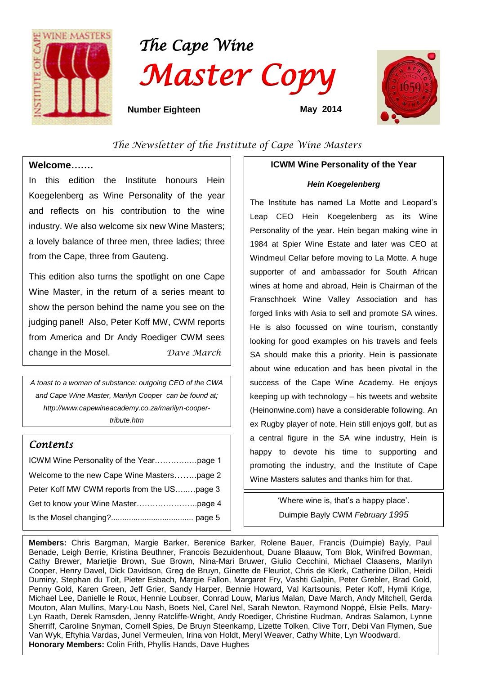

# *The Cape Wine Master Copy*



 **Number Eighteen May 2014** 

# *The Newsletter of the Institute of Cape Wine Masters*

## **Welcome…….**

 $\overline{a}$ 

In this edition the Institute honours Hein Koegelenberg as Wine Personality of the year and reflects on his contribution to the wine industry. We also welcome six new Wine Masters; a lovely balance of three men, three ladies; three from the Cape, three from Gauteng.

This edition also turns the spotlight on one Cape Wine Master, in the return of a series meant to show the person behind the name you see on the judging panel! Also, Peter Koff MW, CWM reports from America and Dr Andy Roediger CWM sees change in the Mosel. *Dave March*

*A toast to a woman of substance: outgoing CEO of the CWA and Cape Wine Master, Marilyn Cooper can be found at; [http://www.capewineacademy.co.za/marilyn-cooper](http://www.capewineacademy.co.za/marilyn-cooper-tribute.htm)[tribute.htm](http://www.capewineacademy.co.za/marilyn-cooper-tribute.htm)* 

# *Contents*

| Welcome to the new Cape Wine Masterspage 2  |  |
|---------------------------------------------|--|
| Peter Koff MW CWM reports from the USpage 3 |  |
|                                             |  |
|                                             |  |

# **ICWM Wine Personality of the Year**

## *Hein Koegelenberg*

The Institute has named La Motte and Leopard's Leap CEO Hein Koegelenberg as its Wine Personality of the year. Hein began making wine in 1984 at Spier Wine Estate and later was CEO at Windmeul Cellar before moving to La Motte. A huge supporter of and ambassador for South African wines at home and abroad, Hein is Chairman of the Franschhoek Wine Valley Association and has forged links with Asia to sell and promote SA wines. He is also focussed on wine tourism, constantly looking for good examples on his travels and feels SA should make this a priority. Hein is passionate about wine education and has been pivotal in the success of the Cape Wine Academy. He enjoys keeping up with technology – his tweets and website (Heinonwine.com) have a considerable following. An ex Rugby player of note, Hein still enjoys golf, but as a central figure in the SA wine industry, Hein is happy to devote his time to supporting and promoting the industry, and the Institute of Cape Wine Masters salutes and thanks him for that.

> 'Where wine is, that's a happy place'. Duimpie Bayly CWM *February 1995*

**Members:** Chris Bargman, Margie Barker, Berenice Barker, Rolene Bauer, Francis (Duimpie) Bayly, Paul Benade, Leigh Berrie, Kristina Beuthner, Francois Bezuidenhout, Duane Blaauw, Tom Blok, Winifred Bowman, Cathy Brewer, Marietjie Brown, Sue Brown, Nina-Mari Bruwer, Giulio Cecchini, Michael Claasens, Marilyn Cooper, Henry Davel, Dick Davidson, Greg de Bruyn, Ginette de Fleuriot, Chris de Klerk, Catherine Dillon, Heidi Duminy, Stephan du Toit, Pieter Esbach, Margie Fallon, Margaret Fry, Vashti Galpin, Peter Grebler, Brad Gold, Penny Gold, Karen Green, Jeff Grier, Sandy Harper, Bennie Howard, Val Kartsounis, Peter Koff, Hymli Krige, Michael Lee, Danielle le Roux, Hennie Loubser, Conrad Louw, Marius Malan, Dave March, Andy Mitchell, Gerda Mouton, Alan Mullins, Mary-Lou Nash, Boets Nel, Carel Nel, Sarah Newton, Raymond Noppé, Elsie Pells, Mary-Lyn Raath, Derek Ramsden, Jenny Ratcliffe-Wright, Andy Roediger, Christine Rudman, Andras Salamon, Lynne Sherriff, Caroline Snyman, Cornell Spies, De Bruyn Steenkamp, Lizette Tolken, Clive Torr, Debi Van Flymen, Sue Van Wyk, Eftyhia Vardas, Junel Vermeulen, Irina von Holdt, Meryl Weaver, Cathy White, Lyn Woodward. **Honorary Members:** Colin Frith, Phyllis Hands, Dave Hughes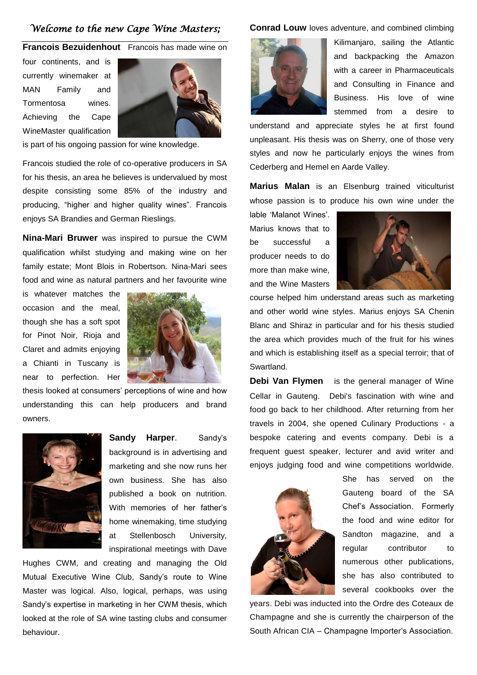# *Welcome to the new Cape Wine Masters;*

#### **Francois Bezuidenhout** Francois has made wine on

four continents, and is currently winemaker at MAN Family and Tormentosa wines. Achieving the Cape WineMaster qualification



is part of his ongoing passion for wine knowledge.

Francois studied the role of co-operative producers in SA for his thesis, an area he believes is undervalued by most despite consisting some 85% of the industry and producing, "higher and higher quality wines". Francois enjoys SA Brandies and German Rieslings.

**Nina-Mari Bruwer** was inspired to pursue the CWM qualification whilst studying and making wine on her family estate; Mont Blois in Robertson. Nina-Mari sees food and wine as natural partners and her favourite wine

is whatever matches the occasion and the meal, though she has a soft spot for Pinot Noir, Rioja and Claret and admits enjoying a Chianti in Tuscany is near to perfection. Her



thesis looked at consumers' perceptions of wine and how understanding this can help producers and brand owners.



**Sandy Harper**. Sandy's background is in advertising and marketing and she now runs her own business. She has also published a book on nutrition. With memories of her father's home winemaking, time studying at Stellenbosch University, inspirational meetings with Dave

Hughes CWM, and creating and managing the Old Mutual Executive Wine Club, Sandy's route to Wine Master was logical. Also, logical, perhaps, was using Sandy's expertise in marketing in her CWM thesis, which looked at the role of SA wine tasting clubs and consumer behaviour.

#### **Conrad Louw** loves adventure, and combined climbing



Kilimanjaro, sailing the Atlantic and backpacking the Amazon with a career in Pharmaceuticals and Consulting in Finance and Business. His love of wine stemmed from a desire to

understand and appreciate styles he at first found unpleasant. His thesis was on Sherry, one of those very styles and now he particularly enjoys the wines from Cederberg and Hemel en Aarde Valley.

**Marius Malan** is an Elsenburg trained viticulturist whose passion is to produce his own wine under the

lable 'Malanot Wines'. Marius knows that to be successful a producer needs to do more than make wine, and the Wine Masters



course helped him understand areas such as marketing and other world wine styles. Marius enjoys SA Chenin Blanc and Shiraz in particular and for his thesis studied the area which provides much of the fruit for his wines and which is establishing itself as a special terroir; that of Swartland.

**Debi Van Flymen** is the general manager of Wine Cellar in Gauteng. Debi's fascination with wine and food go back to her childhood. After returning from her travels in 2004, she opened Culinary Productions - a bespoke catering and events company. Debi is a frequent guest speaker, lecturer and avid writer and enjoys judging food and wine competitions worldwide.



She has served on the Gauteng board of the SA Chef's Association. Formerly the food and wine editor for Sandton magazine, and a regular contributor to numerous other publications, she has also contributed to several cookbooks over the

years. Debi was inducted into the Ordre des Coteaux de Champagne and she is currently the chairperson of the South African CIA – Champagne Importer's Association.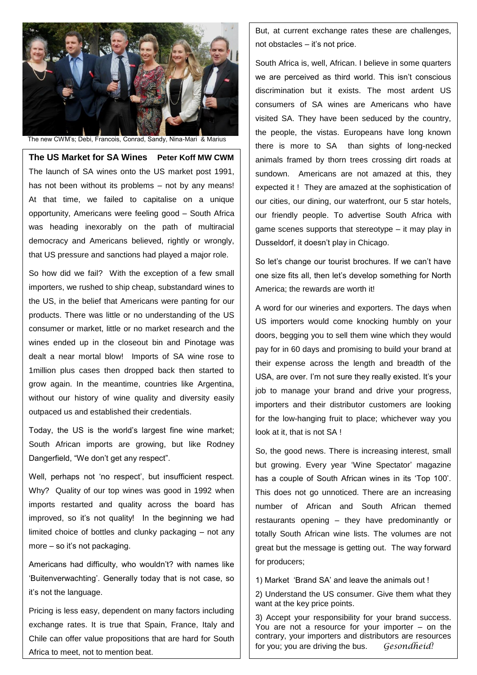

The new CWM's; Debi, Francois, Conrad, Sandy, Nina-Mari & Marius

**The US Market for SA Wines Peter Koff MW CWM** The launch of SA wines onto the US market post 1991, has not been without its problems – not by any means! At that time, we failed to capitalise on a unique opportunity, Americans were feeling good – South Africa was heading inexorably on the path of multiracial democracy and Americans believed, rightly or wrongly, that US pressure and sanctions had played a major role.

So how did we fail? With the exception of a few small importers, we rushed to ship cheap, substandard wines to the US, in the belief that Americans were panting for our products. There was little or no understanding of the US consumer or market, little or no market research and the wines ended up in the closeout bin and Pinotage was dealt a near mortal blow! Imports of SA wine rose to 1million plus cases then dropped back then started to grow again. In the meantime, countries like Argentina, without our history of wine quality and diversity easily outpaced us and established their credentials.

Today, the US is the world's largest fine wine market; South African imports are growing, but like Rodney Dangerfield, "We don't get any respect".

Well, perhaps not 'no respect', but insufficient respect. Why? Quality of our top wines was good in 1992 when imports restarted and quality across the board has improved, so it's not quality! In the beginning we had limited choice of bottles and clunky packaging – not any more – so it's not packaging.

Americans had difficulty, who wouldn't? with names like 'Buitenverwachting'. Generally today that is not case, so it's not the language.

Pricing is less easy, dependent on many factors including exchange rates. It is true that Spain, France, Italy and Chile can offer value propositions that are hard for South Africa to meet, not to mention beat.

But, at current exchange rates these are challenges, not obstacles – it's not price.

South Africa is, well, African. I believe in some quarters we are perceived as third world. This isn't conscious discrimination but it exists. The most ardent US consumers of SA wines are Americans who have visited SA. They have been seduced by the country, the people, the vistas. Europeans have long known there is more to SA than sights of long-necked animals framed by thorn trees crossing dirt roads at sundown. Americans are not amazed at this, they expected it ! They are amazed at the sophistication of our cities, our dining, our waterfront, our 5 star hotels, our friendly people. To advertise South Africa with game scenes supports that stereotype – it may play in Dusseldorf, it doesn't play in Chicago.

So let's change our tourist brochures. If we can't have one size fits all, then let's develop something for North America; the rewards are worth it!

A word for our wineries and exporters. The days when US importers would come knocking humbly on your doors, begging you to sell them wine which they would pay for in 60 days and promising to build your brand at their expense across the length and breadth of the USA, are over. I'm not sure they really existed. It's your job to manage your brand and drive your progress, importers and their distributor customers are looking for the low-hanging fruit to place; whichever way you look at it, that is not SA!

So, the good news. There is increasing interest, small but growing. Every year 'Wine Spectator' magazine has a couple of South African wines in its 'Top 100'. This does not go unnoticed. There are an increasing number of African and South African themed restaurants opening – they have predominantly or totally South African wine lists. The volumes are not great but the message is getting out. The way forward for producers;

1) Market 'Brand SA' and leave the animals out !

2) Understand the US consumer. Give them what they want at the key price points.

3) Accept your responsibility for your brand success. You are not a resource for your importer – on the contrary, your importers and distributors are resources for you; you are driving the bus. *Gesondheid!*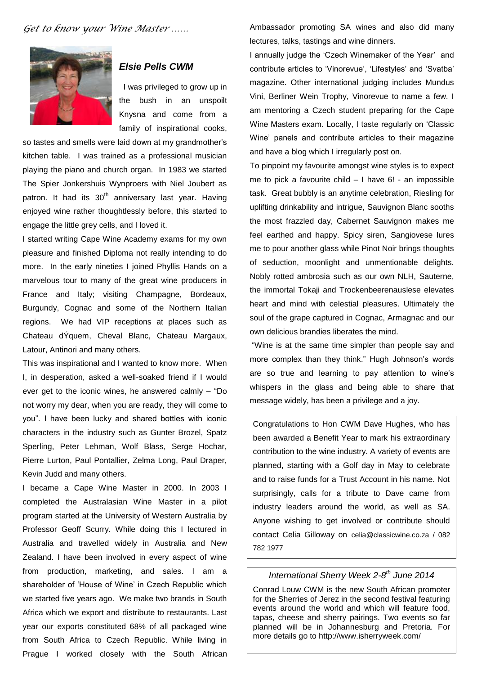

## *Elsie Pells CWM*

I was privileged to grow up in the bush in an unspoilt Knysna and come from a family of inspirational cooks,

so tastes and smells were laid down at my grandmother's kitchen table. I was trained as a professional musician playing the piano and church organ. In 1983 we started The Spier Jonkershuis Wynproers with Niel Joubert as patron. It had its  $30<sup>th</sup>$  anniversary last year. Having enjoyed wine rather thoughtlessly before, this started to engage the little grey cells, and I loved it.

I started writing Cape Wine Academy exams for my own pleasure and finished Diploma not really intending to do more. In the early nineties I joined Phyllis Hands on a marvelous tour to many of the great wine producers in France and Italy; visiting Champagne, Bordeaux, Burgundy, Cognac and some of the Northern Italian regions. We had VIP receptions at places such as Chateau dÝquem, Cheval Blanc, Chateau Margaux, Latour, Antinori and many others.

This was inspirational and I wanted to know more. When I, in desperation, asked a well-soaked friend if I would ever get to the iconic wines, he answered calmly – "Do not worry my dear, when you are ready, they will come to you". I have been lucky and shared bottles with iconic characters in the industry such as Gunter Brozel, Spatz Sperling, Peter Lehman, Wolf Blass, Serge Hochar, Pierre Lurton, Paul Pontallier, Zelma Long, Paul Draper, Kevin Judd and many others.

I became a Cape Wine Master in 2000. In 2003 I completed the Australasian Wine Master in a pilot program started at the University of Western Australia by Professor Geoff Scurry. While doing this I lectured in Australia and travelled widely in Australia and New Zealand. I have been involved in every aspect of wine from production, marketing, and sales. I am a shareholder of 'House of Wine' in Czech Republic which we started five years ago. We make two brands in South Africa which we export and distribute to restaurants. Last year our exports constituted 68% of all packaged wine from South Africa to Czech Republic. While living in Prague I worked closely with the South African Ambassador promoting SA wines and also did many lectures, talks, tastings and wine dinners.

I annually judge the 'Czech Winemaker of the Year' and contribute articles to 'Vinorevue', 'Lifestyles' and 'Svatba' magazine. Other international judging includes Mundus Vini, Berliner Wein Trophy, Vinorevue to name a few. I am mentoring a Czech student preparing for the Cape Wine Masters exam. Locally, I taste regularly on 'Classic Wine' panels and contribute articles to their magazine and have a blog which I irregularly post on.

To pinpoint my favourite amongst wine styles is to expect me to pick a favourite child – I have 6! - an impossible task. Great bubbly is an anytime celebration, Riesling for uplifting drinkability and intrigue, Sauvignon Blanc sooths the most frazzled day, Cabernet Sauvignon makes me feel earthed and happy. Spicy siren, Sangiovese lures me to pour another glass while Pinot Noir brings thoughts of seduction, moonlight and unmentionable delights. Nobly rotted ambrosia such as our own NLH, Sauterne, the immortal Tokaji and Trockenbeerenauslese elevates heart and mind with celestial pleasures. Ultimately the soul of the grape captured in Cognac, Armagnac and our own delicious brandies liberates the mind.

"Wine is at the same time simpler than people say and more complex than they think." Hugh Johnson's words are so true and learning to pay attention to wine's whispers in the glass and being able to share that message widely, has been a privilege and a joy.

Congratulations to Hon CWM Dave Hughes, who has been awarded a Benefit Year to mark his extraordinary contribution to the wine industry. A variety of events are planned, starting with a Golf day in May to celebrate and to raise funds for a Trust Account in his name. Not surprisingly, calls for a tribute to Dave came from industry leaders around the world, as well as SA. Anyone wishing to get involved or contribute should contact Celia Gilloway on [celia@classicwine.co.za](mailto:celia@classicwine.co.za) / 082 782 1977

## *International Sherry Week 2-8 th June 2014*

Conrad Louw CWM is the new South African promoter for the Sherries of Jerez in the second festival featuring events around the world and which will feature food, tapas, cheese and sherry pairings. Two events so far planned will be in Johannesburg and Pretoria. For more details go to<http://www.isherryweek.com/>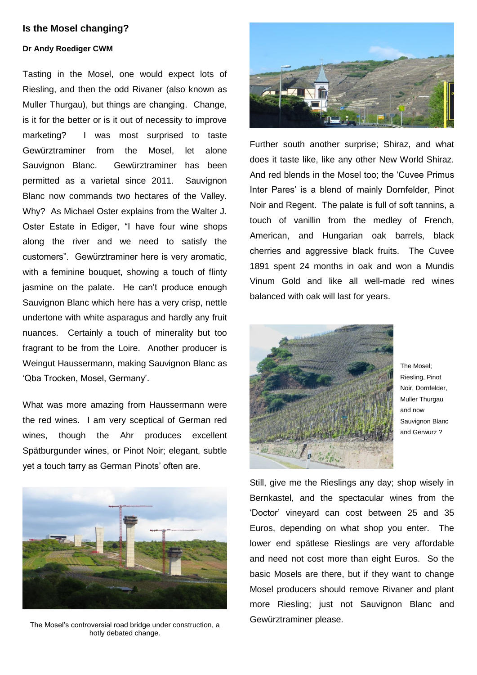## **Is the Mosel changing?**

## **Dr Andy Roediger CWM**

Tasting in the Mosel, one would expect lots of Riesling, and then the odd Rivaner (also known as Muller Thurgau), but things are changing. Change, is it for the better or is it out of necessity to improve marketing? I was most surprised to taste Gewürztraminer from the Mosel, let alone Sauvignon Blanc. Gewürztraminer has been permitted as a varietal since 2011. Sauvignon Blanc now commands two hectares of the Valley. Why? As Michael Oster explains from the Walter J. Oster Estate in Ediger, "I have four wine shops along the river and we need to satisfy the customers". Gewürztraminer here is very aromatic, with a feminine bouquet, showing a touch of flinty jasmine on the palate. He can't produce enough Sauvignon Blanc which here has a very crisp, nettle undertone with white asparagus and hardly any fruit nuances. Certainly a touch of minerality but too fragrant to be from the Loire. Another producer is Weingut Haussermann, making Sauvignon Blanc as 'Qba Trocken, Mosel, Germany'.

What was more amazing from Haussermann were the red wines. I am very sceptical of German red wines, though the Ahr produces excellent Spätburgunder wines, or Pinot Noir; elegant, subtle yet a touch tarry as German Pinots' often are.



The Mosel's controversial road bridge under construction, a hotly debated change.



Further south another surprise; Shiraz, and what does it taste like, like any other New World Shiraz. And red blends in the Mosel too; the 'Cuvee Primus Inter Pares' is a blend of mainly Dornfelder, Pinot Noir and Regent. The palate is full of soft tannins, a touch of vanillin from the medley of French, American, and Hungarian oak barrels, black cherries and aggressive black fruits. The Cuvee 1891 spent 24 months in oak and won a Mundis Vinum Gold and like all well-made red wines balanced with oak will last for years.



The Mosel; Riesling, Pinot Noir, Dornfelder, Muller Thurgau and now Sauvignon Blanc and Gerwurz ?

Still, give me the Rieslings any day; shop wisely in Bernkastel, and the spectacular wines from the 'Doctor' vineyard can cost between 25 and 35 Euros, depending on what shop you enter. The lower end spätlese Rieslings are very affordable and need not cost more than eight Euros. So the basic Mosels are there, but if they want to change Mosel producers should remove Rivaner and plant more Riesling; just not Sauvignon Blanc and Gewürztraminer please.